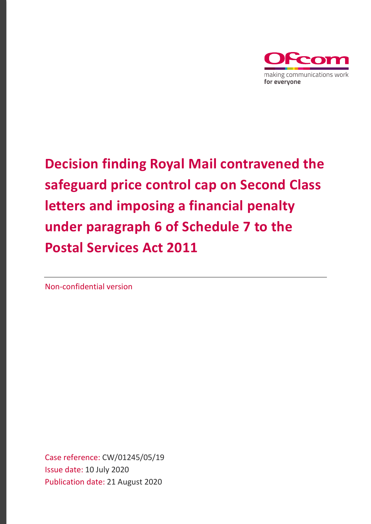

# **Decision finding Royal Mail contravened the safeguard price control cap on Second Class letters and imposing a financial penalty under paragraph 6 of Schedule 7 to the Postal Services Act 2011**

Non-confidential version

Case reference: CW/01245/05/19 Issue date: 10 July 2020 Publication date: 21 August 2020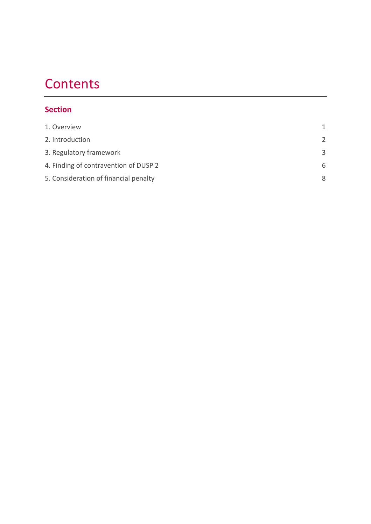# **Contents**

## **Section**

| 1. Overview                           | 1             |
|---------------------------------------|---------------|
| 2. Introduction                       | $\mathcal{P}$ |
| 3. Regulatory framework               | 3             |
| 4. Finding of contravention of DUSP 2 | 6             |
| 5. Consideration of financial penalty | 8             |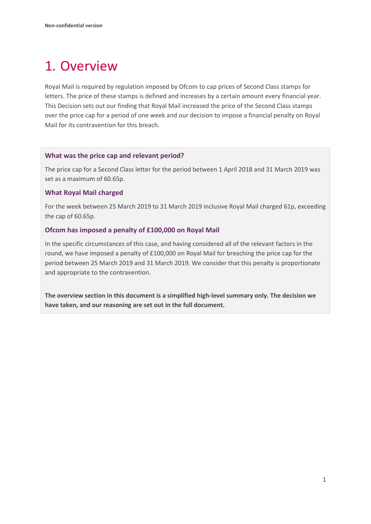# <span id="page-2-0"></span>1. Overview

Royal Mail is required by regulation imposed by Ofcom to cap prices of Second Class stamps for letters. The price of these stamps is defined and increases by a certain amount every financial year. This Decision sets out our finding that Royal Mail increased the price of the Second Class stamps over the price cap for a period of one week and our decision to impose a financial penalty on Royal Mail for its contravention for this breach.

### **What was the price cap and relevant period?**

The price cap for a Second Class letter for the period between 1 April 2018 and 31 March 2019 was set as a maximum of 60.65p.

### **What Royal Mail charged**

For the week between 25 March 2019 to 31 March 2019 inclusive Royal Mail charged 61p, exceeding the cap of 60.65p.

### **Ofcom has imposed a penalty of £100,000 on Royal Mail**

In the specific circumstances of this case, and having considered all of the relevant factors in the round, we have imposed a penalty of £100,000 on Royal Mail for breaching the price cap for the period between 25 March 2019 and 31 March 2019. We consider that this penalty is proportionate and appropriate to the contravention.

**The overview section in this document is a simplified high-level summary only. The decision we have taken, and our reasoning are set out in the full document.**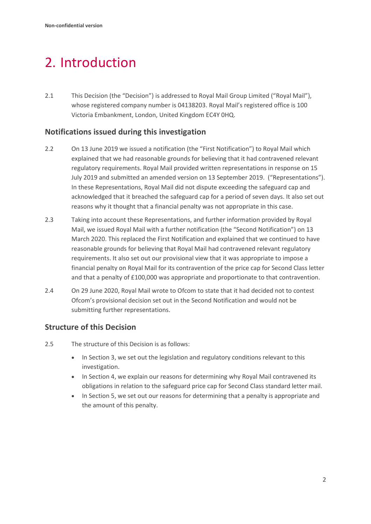# <span id="page-3-0"></span>2. Introduction

2.1 This Decision (the "Decision") is addressed to Royal Mail Group Limited ("Royal Mail"), whose registered company number is 04138203. Royal Mail's registered office is 100 Victoria Embankment, London, United Kingdom EC4Y 0HQ.

## **Notifications issued during this investigation**

- 2.2 On 13 June 2019 we issued a notification (the "First Notification") to Royal Mail which explained that we had reasonable grounds for believing that it had contravened relevant regulatory requirements. Royal Mail provided written representations in response on 15 July 2019 and submitted an amended version on 13 September 2019. ("Representations"). In these Representations, Royal Mail did not dispute exceeding the safeguard cap and acknowledged that it breached the safeguard cap for a period of seven days. It also set out reasons why it thought that a financial penalty was not appropriate in this case.
- 2.3 Taking into account these Representations, and further information provided by Royal Mail, we issued Royal Mail with a further notification (the "Second Notification") on 13 March 2020. This replaced the First Notification and explained that we continued to have reasonable grounds for believing that Royal Mail had contravened relevant regulatory requirements. It also set out our provisional view that it was appropriate to impose a financial penalty on Royal Mail for its contravention of the price cap for Second Class letter and that a penalty of £100,000 was appropriate and proportionate to that contravention.
- 2.4 On 29 June 2020, Royal Mail wrote to Ofcom to state that it had decided not to contest Ofcom's provisional decision set out in the Second Notification and would not be submitting further representations.

## **Structure of this Decision**

- 2.5 The structure of this Decision is as follows:
	- In Section 3, we set out the legislation and regulatory conditions relevant to this investigation.
	- In Section 4, we explain our reasons for determining why Royal Mail contravened its obligations in relation to the safeguard price cap for Second Class standard letter mail.
	- In Section 5, we set out our reasons for determining that a penalty is appropriate and the amount of this penalty.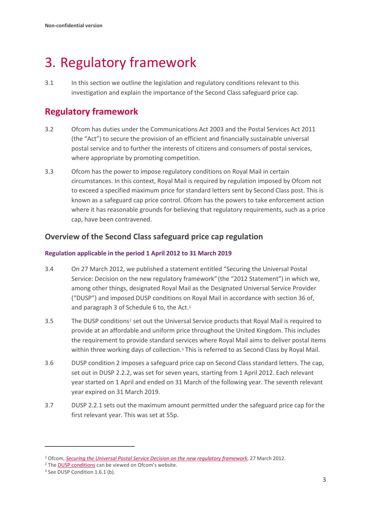# <span id="page-4-0"></span>3. Regulatory framework

3.1 In this section we outline the legislation and regulatory conditions relevant to this investigation and explain the importance of the Second Class safeguard price cap.

# **Regulatory framework**

- 3.2 Ofcom has duties under the Communications Act 2003 and the Postal Services Act 2011 (the "Act") to secure the provision of an efficient and financially sustainable universal postal service and to further the interests of citizens and consumers of postal services, where appropriate by promoting competition.
- 3.3 Ofcom has the power to impose regulatory conditions on Royal Mail in certain circumstances. In this context, Royal Mail is required by regulation imposed by Ofcom not to exceed a specified maximum price for standard letters sent by Second Class post. This is known as a safeguard cap price control. Ofcom has the powers to take enforcement action where it has reasonable grounds for believing that regulatory requirements, such as a price cap, have been contravened.

## **Overview of the Second Class safeguard price cap regulation**

### **Regulation applicable in the period 1 April 2012 to 31 March 2019**

- 3.4 On 27 March 2012, we published a statement entitled "Securing the Universal Postal Service: Decision on the new regulatory framework" (the "2012 Statement") in which we, among other things, designated Royal Mail as the Designated Universal Service Provider ("DUSP") and imposed DUSP conditions on Royal Mail in accordance with section 36 of, and paragraph 3 of Schedule 6 to, the Act.<sup>[1](#page-4-1)</sup>
- 3.5 The DUSP conditions[2](#page-4-2) set out the Universal Service products that Royal Mail is required to provide at an affordable and uniform price throughout the United Kingdom. This includes the requirement to provide standard services where Royal Mail aims to deliver postal items within three working days of collection.<sup>[3](#page-4-3)</sup> This is referred to as Second Class by Royal Mail.
- 3.6 DUSP condition 2 imposes a safeguard price cap on Second Class standard letters. The cap, set out in DUSP 2.2.2, was set for seven years, starting from 1 April 2012. Each relevant year started on 1 April and ended on 31 March of the following year. The seventh relevant year expired on 31 March 2019.
- 3.7 DUSP 2.2.1 sets out the maximum amount permitted under the safeguard price cap for the first relevant year. This was set at 55p.

<span id="page-4-2"></span><span id="page-4-1"></span><sup>&</sup>lt;sup>1</sup> Ofcom[,](https://www.ofcom.org.uk/__data/assets/pdf_file/0029/74279/Securing-the-Universal-Postal-Service-statement.pdf) *Se[c](https://www.ofcom.org.uk/postal-services/information-for-the-postal-industry/conditions)uring the Universal Postal Service Decision on the new regulatory framework*, 27 March 2012.<br><sup>2</sup> The <u>DUSP conditions</u> can be viewed on Ofcom's website. <sup>3</sup> See DUSP Condition 1.6.1 (b).

<span id="page-4-3"></span>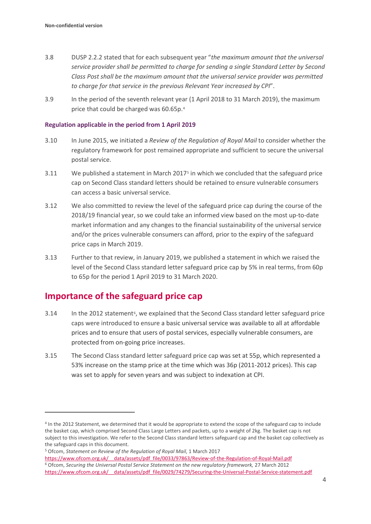- 3.8 DUSP 2.2.2 stated that for each subsequent year "*the maximum amount that the universal service provider shall be permitted to charge for sending a single Standard Letter by Second Class Post shall be the maximum amount that the universal service provider was permitted to charge for that service in the previous Relevant Year increased by CPI*".
- 3.9 In the period of the seventh relevant year (1 April 2018 to 31 March 2019), the maximum price that could be charged was 60.65p.[4](#page-5-0)

#### **Regulation applicable in the period from 1 April 2019**

- 3.10 In June 2015, we initiated a *Review of the Regulation of Royal Mail* to consider whether the regulatory framework for post remained appropriate and sufficient to secure the universal postal service.
- 3.11 We published a statement in March 2017[5](#page-5-1) in which we concluded that the safeguard price cap on Second Class standard letters should be retained to ensure vulnerable consumers can access a basic universal service.
- 3.12 We also committed to review the level of the safeguard price cap during the course of the 2018/19 financial year, so we could take an informed view based on the most up-to-date market information and any changes to the financial sustainability of the universal service and/or the prices vulnerable consumers can afford, prior to the expiry of the safeguard price caps in March 2019.
- 3.13 Further to that review, in January 2019, we published a statement in which we raised the level of the Second Class standard letter safeguard price cap by 5% in real terms, from 60p to 65p for the period 1 April 2019 to 31 March 2020.

## **Importance of the safeguard price cap**

- $3.14$  In the 2012 statement<sup>6</sup>, we explained that the Second Class standard letter safeguard price caps were introduced to ensure a basic universal service was available to all at affordable prices and to ensure that users of postal services, especially vulnerable consumers, are protected from on-going price increases.
- 3.15 The Second Class standard letter safeguard price cap was set at 55p, which represented a 53% increase on the stamp price at the time which was 36p (2011-2012 prices). This cap was set to apply for seven years and was subject to indexation at CPI.

<span id="page-5-0"></span><sup>4</sup> In the 2012 Statement, we determined that it would be appropriate to extend the scope of the safeguard cap to include the basket cap, which comprised Second Class Large Letters and packets, up to a weight of 2kg. The basket cap is not subject to this investigation. We refer to the Second Class standard letters safeguard cap and the basket cap collectively as the safeguard caps in this document.

<span id="page-5-1"></span><sup>5</sup> Ofcom, *Statement on Review of the Regulation of Royal Mail*, 1 March 2017

<span id="page-5-2"></span>[https://www.ofcom.org.uk/\\_\\_data/assets/pdf\\_file/0033/97863/Review-of-the-Regulation-of-Royal-Mail.pdf](https://www.ofcom.org.uk/__data/assets/pdf_file/0033/97863/Review-of-the-Regulation-of-Royal-Mail.pdf) 6 Ofcom, *Securing the Universal Postal Service Statement on the new regulatory framework,* <sup>27</sup> March 2012 https://www.ofcom.org.uk/ data/assets/pdf file/0029/74279/Securing-the-Universal-Postal-Service-statement.pdf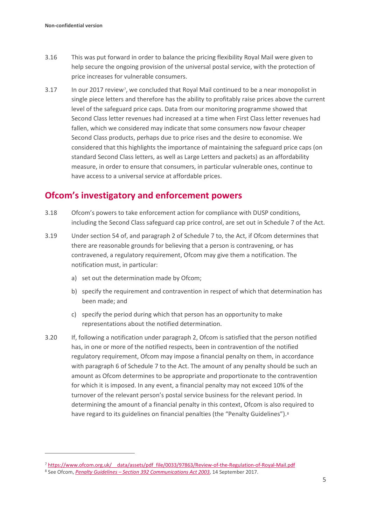- 3.16 This was put forward in order to balance the pricing flexibility Royal Mail were given to help secure the ongoing provision of the universal postal service, with the protection of price increases for vulnerable consumers.
- 3.17 In our 2017 review[7,](#page-6-0) we concluded that Royal Mail continued to be a near monopolist in single piece letters and therefore has the ability to profitably raise prices above the current level of the safeguard price caps. Data from our monitoring programme showed that Second Class letter revenues had increased at a time when First Class letter revenues had fallen, which we considered may indicate that some consumers now favour cheaper Second Class products, perhaps due to price rises and the desire to economise. We considered that this highlights the importance of maintaining the safeguard price caps (on standard Second Class letters, as well as Large Letters and packets) as an affordability measure, in order to ensure that consumers, in particular vulnerable ones, continue to have access to a universal service at affordable prices.

## **Ofcom's investigatory and enforcement powers**

- 3.18 Ofcom's powers to take enforcement action for compliance with DUSP conditions, including the Second Class safeguard cap price control, are set out in Schedule 7 of the Act.
- 3.19 Under section 54 of, and paragraph 2 of Schedule 7 to, the Act, if Ofcom determines that there are reasonable grounds for believing that a person is contravening, or has contravened, a regulatory requirement, Ofcom may give them a notification. The notification must, in particular:
	- a) set out the determination made by Ofcom;
	- b) specify the requirement and contravention in respect of which that determination has been made; and
	- c) specify the period during which that person has an opportunity to make representations about the notified determination.
- 3.20 If, following a notification under paragraph 2, Ofcom is satisfied that the person notified has, in one or more of the notified respects, been in contravention of the notified regulatory requirement, Ofcom may impose a financial penalty on them, in accordance with paragraph 6 of Schedule 7 to the Act. The amount of any penalty should be such an amount as Ofcom determines to be appropriate and proportionate to the contravention for which it is imposed. In any event, a financial penalty may not exceed 10% of the turnover of the relevant person's postal service business for the relevant period. In determining the amount of a financial penalty in this context, Ofcom is also required to have regard to its guidelines on financial penalties (the "Penalty Guidelines").<sup>[8](#page-6-1)</sup>

<span id="page-6-0"></span><sup>7</sup> [https://www.ofcom.org.uk/\\_\\_data/assets/pdf\\_file/0033/97863/Review-of-the-Regulation-of-Royal-Mail.pdf](https://www.ofcom.org.uk/__data/assets/pdf_file/0033/97863/Review-of-the-Regulation-of-Royal-Mail.pdf)

<span id="page-6-1"></span><sup>8</sup> See Ofcom, *Penalty Guidelines – [Section 392 Communications Act 2003](https://www.ofcom.org.uk/__data/assets/pdf_file/0022/106267/Penalty-Guidelines-September-2017.pdf)*, 14 September 2017.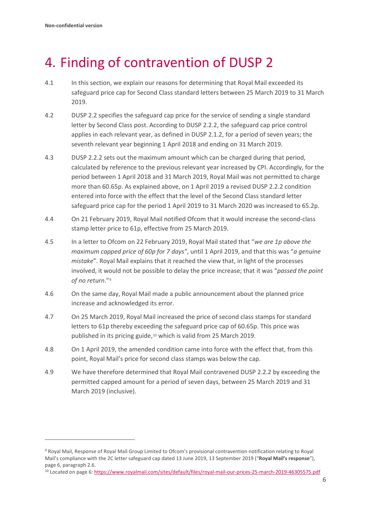# <span id="page-7-0"></span>4. Finding of contravention of DUSP 2

- 4.1 In this section, we explain our reasons for determining that Royal Mail exceeded its safeguard price cap for Second Class standard letters between 25 March 2019 to 31 March 2019.
- 4.2 DUSP 2.2 specifies the safeguard cap price for the service of sending a single standard letter by Second Class post. According to DUSP 2.2.2, the safeguard cap price control applies in each relevant year, as defined in DUSP 2.1.2, for a period of seven years; the seventh relevant year beginning 1 April 2018 and ending on 31 March 2019.
- 4.3 DUSP 2.2.2 sets out the maximum amount which can be charged during that period, calculated by reference to the previous relevant year increased by CPI. Accordingly, for the period between 1 April 2018 and 31 March 2019, Royal Mail was not permitted to charge more than 60.65p. As explained above, on 1 April 2019 a revised DUSP 2.2.2 condition entered into force with the effect that the level of the Second Class standard letter safeguard price cap for the period 1 April 2019 to 31 March 2020 was increased to 65.2p.
- 4.4 On 21 February 2019, Royal Mail notified Ofcom that it would increase the second-class stamp letter price to 61p, effective from 25 March 2019.
- 4.5 In a letter to Ofcom on 22 February 2019, Royal Mail stated that "*we are 1p above the maximum capped price of 60p for 7 days"*, until 1 April 2019, and that this was "*a genuine mistake*". Royal Mail explains that it reached the view that, in light of the processes involved, it would not be possible to delay the price increase; that it was "*passed the point of no return*."[9](#page-7-1)
- 4.6 On the same day, Royal Mail made a public announcement about the planned price increase and acknowledged its error.
- 4.7 On 25 March 2019, Royal Mail increased the price of second class stamps for standard letters to 61p thereby exceeding the safeguard price cap of 60.65p. This price was published in its pricing guide,<sup>[10](#page-7-2)</sup> which is valid from 25 March 2019.
- 4.8 On 1 April 2019, the amended condition came into force with the effect that, from this point, Royal Mail's price for second class stamps was below the cap.
- 4.9 We have therefore determined that Royal Mail contravened DUSP 2.2.2 by exceeding the permitted capped amount for a period of seven days, between 25 March 2019 and 31 March 2019 (inclusive).

<span id="page-7-1"></span><sup>9</sup> Royal Mail, Response of Royal Mail Group Limited to Ofcom's provisional contravention notification relating to Royal Mail's compliance with the 2C letter safeguard cap dated 13 June 2019, 13 September 2019 ("**Royal Mail's response**"), page 6, paragraph 2.6.

<span id="page-7-2"></span><sup>&</sup>lt;sup>10</sup> Located on page 6[: https://www.royalmail.com/sites/default/files/royal-mail-our-prices-25-march-2019-46305575.pdf](https://www.royalmail.com/sites/default/files/royal-mail-our-prices-25-march-2019-46305575.pdf)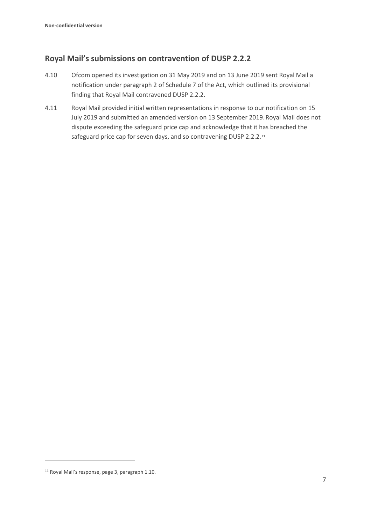## **Royal Mail's submissions on contravention of DUSP 2.2.2**

- 4.10 Ofcom opened its investigation on 31 May 2019 and on 13 June 2019 sent Royal Mail a notification under paragraph 2 of Schedule 7 of the Act, which outlined its provisional finding that Royal Mail contravened DUSP 2.2.2.
- 4.11 Royal Mail provided initial written representations in response to our notification on 15 July 2019 and submitted an amended version on 13 September 2019.Royal Mail does not dispute exceeding the safeguard price cap and acknowledge that it has breached the safeguard price cap for seven days, and so contravening DUSP 2.2.2.[11](#page-8-0)

<span id="page-8-0"></span><sup>11</sup> Royal Mail's response, page 3, paragraph 1.10.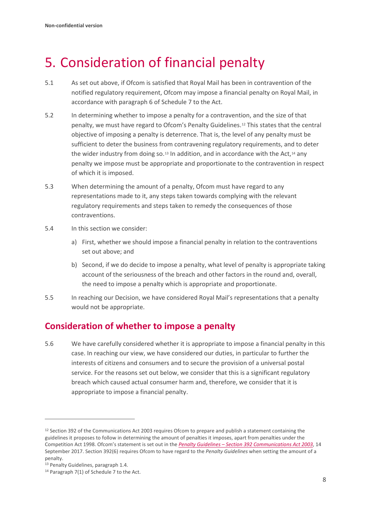# <span id="page-9-0"></span>5. Consideration of financial penalty

- 5.1 As set out above, if Ofcom is satisfied that Royal Mail has been in contravention of the notified regulatory requirement, Ofcom may impose a financial penalty on Royal Mail, in accordance with paragraph 6 of Schedule 7 to the Act.
- 5.2 In determining whether to impose a penalty for a contravention, and the size of that penalty, we must have regard to Ofcom's Penalty Guidelines.[12](#page-9-1) This states that the central objective of imposing a penalty is deterrence. That is, the level of any penalty must be sufficient to deter the business from contravening regulatory requirements, and to deter the wider industry from doing so. $13$  In addition, and in accordance with the Act, $14$  any penalty we impose must be appropriate and proportionate to the contravention in respect of which it is imposed.
- 5.3 When determining the amount of a penalty, Ofcom must have regard to any representations made to it, any steps taken towards complying with the relevant regulatory requirements and steps taken to remedy the consequences of those contraventions.
- 5.4 In this section we consider:
	- a) First, whether we should impose a financial penalty in relation to the contraventions set out above; and
	- b) Second, if we do decide to impose a penalty, what level of penalty is appropriate taking account of the seriousness of the breach and other factors in the round and, overall, the need to impose a penalty which is appropriate and proportionate.
- 5.5 In reaching our Decision, we have considered Royal Mail's representations that a penalty would not be appropriate.

## **Consideration of whether to impose a penalty**

5.6 We have carefully considered whether it is appropriate to impose a financial penalty in this case. In reaching our view, we have considered our duties, in particular to further the interests of citizens and consumers and to secure the provision of a universal postal service. For the reasons set out below, we consider that this is a significant regulatory breach which caused actual consumer harm and, therefore, we consider that it is appropriate to impose a financial penalty.

<span id="page-9-1"></span><sup>&</sup>lt;sup>12</sup> Section 392 of the Communications Act 2003 requires Ofcom to prepare and publish a statement containing the guidelines it proposes to follow in determining the amount of penalties it imposes, apart from penalties under the Competition Act 1998. Ofcom's statement is set out in the *Penalty Guidelines – [Section 392 Communications Act 2003](https://www.ofcom.org.uk/__data/assets/pdf_file/0022/106267/Penalty-Guidelines-September-2017.pdf)*, 14 September 2017. Section 392(6) requires Ofcom to have regard to the *Penalty Guidelines* when setting the amount of a penalty.

<span id="page-9-2"></span><sup>13</sup> Penalty Guidelines, paragraph 1.4.

<span id="page-9-3"></span><sup>14</sup> Paragraph 7(1) of Schedule 7 to the Act.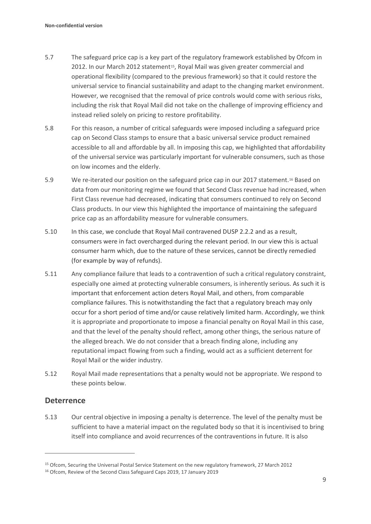- 5.7 The safeguard price cap is a key part of the regulatory framework established by Ofcom in 2012. In our March 2012 statement<sup>15</sup>, Royal Mail was given greater commercial and operational flexibility (compared to the previous framework) so that it could restore the universal service to financial sustainability and adapt to the changing market environment. However, we recognised that the removal of price controls would come with serious risks, including the risk that Royal Mail did not take on the challenge of improving efficiency and instead relied solely on pricing to restore profitability.
- 5.8 For this reason, a number of critical safeguards were imposed including a safeguard price cap on Second Class stamps to ensure that a basic universal service product remained accessible to all and affordable by all. In imposing this cap, we highlighted that affordability of the universal service was particularly important for vulnerable consumers, such as those on low incomes and the elderly.
- 5.9 We re-iterated our position on the safeguard price cap in our 2017 statement.[16](#page-10-1) Based on data from our monitoring regime we found that Second Class revenue had increased, when First Class revenue had decreased, indicating that consumers continued to rely on Second Class products. In our view this highlighted the importance of maintaining the safeguard price cap as an affordability measure for vulnerable consumers.
- 5.10 In this case, we conclude that Royal Mail contravened DUSP 2.2.2 and as a result, consumers were in fact overcharged during the relevant period. In our view this is actual consumer harm which, due to the nature of these services, cannot be directly remedied (for example by way of refunds).
- 5.11 Any compliance failure that leads to a contravention of such a critical regulatory constraint, especially one aimed at protecting vulnerable consumers, is inherently serious. As such it is important that enforcement action deters Royal Mail, and others, from comparable compliance failures. This is notwithstanding the fact that a regulatory breach may only occur for a short period of time and/or cause relatively limited harm. Accordingly, we think it is appropriate and proportionate to impose a financial penalty on Royal Mail in this case, and that the level of the penalty should reflect, among other things, the serious nature of the alleged breach. We do not consider that a breach finding alone, including any reputational impact flowing from such a finding, would act as a sufficient deterrent for Royal Mail or the wider industry.
- 5.12 Royal Mail made representations that a penalty would not be appropriate. We respond to these points below.

## **Deterrence**

5.13 Our central objective in imposing a penalty is deterrence. The level of the penalty must be sufficient to have a material impact on the regulated body so that it is incentivised to bring itself into compliance and avoid recurrences of the contraventions in future. It is also

<span id="page-10-0"></span><sup>15</sup> Ofcom, Securing the Universal Postal Service Statement on the new regulatory framework, 27 March 2012

<span id="page-10-1"></span><sup>16</sup> Ofcom, Review of the Second Class Safeguard Caps 2019, 17 January 2019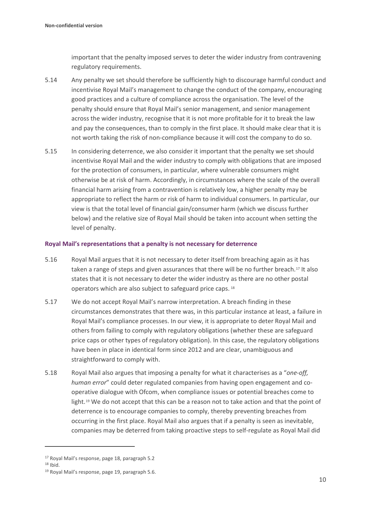important that the penalty imposed serves to deter the wider industry from contravening regulatory requirements.

- 5.14 Any penalty we set should therefore be sufficiently high to discourage harmful conduct and incentivise Royal Mail's management to change the conduct of the company, encouraging good practices and a culture of compliance across the organisation. The level of the penalty should ensure that Royal Mail's senior management, and senior management across the wider industry, recognise that it is not more profitable for it to break the law and pay the consequences, than to comply in the first place. It should make clear that it is not worth taking the risk of non-compliance because it will cost the company to do so.
- 5.15 In considering deterrence, we also consider it important that the penalty we set should incentivise Royal Mail and the wider industry to comply with obligations that are imposed for the protection of consumers, in particular, where vulnerable consumers might otherwise be at risk of harm. Accordingly, in circumstances where the scale of the overall financial harm arising from a contravention is relatively low, a higher penalty may be appropriate to reflect the harm or risk of harm to individual consumers. In particular, our view is that the total level of financial gain/consumer harm (which we discuss further below) and the relative size of Royal Mail should be taken into account when setting the level of penalty.

### **Royal Mail's representations that a penalty is not necessary for deterrence**

- 5.16 Royal Mail argues that it is not necessary to deter itself from breaching again as it has taken a range of steps and given assurances that there will be no further breach.<sup>[17](#page-11-0)</sup> It also states that it is not necessary to deter the wider industry as there are no other postal operators which are also subject to safeguard price caps. [18](#page-11-1)
- 5.17 We do not accept Royal Mail's narrow interpretation. A breach finding in these circumstances demonstrates that there was, in this particular instance at least, a failure in Royal Mail's compliance processes. In our view, it is appropriate to deter Royal Mail and others from failing to comply with regulatory obligations (whether these are safeguard price caps or other types of regulatory obligation). In this case, the regulatory obligations have been in place in identical form since 2012 and are clear, unambiguous and straightforward to comply with.
- 5.18 Royal Mail also argues that imposing a penalty for what it characterises as a "*one-off, human error*" could deter regulated companies from having open engagement and cooperative dialogue with Ofcom, when compliance issues or potential breaches come to light.<sup>[19](#page-11-2)</sup> We do not accept that this can be a reason not to take action and that the point of deterrence is to encourage companies to comply, thereby preventing breaches from occurring in the first place. Royal Mail also argues that if a penalty is seen as inevitable, companies may be deterred from taking proactive steps to self-regulate as Royal Mail did

<span id="page-11-0"></span><sup>17</sup> Royal Mail's response, page 18, paragraph 5.2

<span id="page-11-2"></span><span id="page-11-1"></span> $18$  Ibid.

<sup>19</sup> Royal Mail's response, page 19, paragraph 5.6.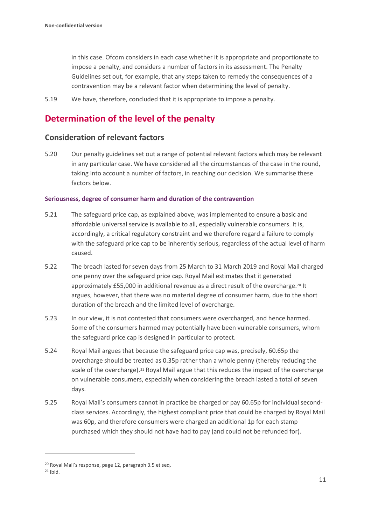in this case. Ofcom considers in each case whether it is appropriate and proportionate to impose a penalty, and considers a number of factors in its assessment. The Penalty Guidelines set out, for example, that any steps taken to remedy the consequences of a contravention may be a relevant factor when determining the level of penalty.

5.19 We have, therefore, concluded that it is appropriate to impose a penalty.

## **Determination of the level of the penalty**

## **Consideration of relevant factors**

5.20 Our penalty guidelines set out a range of potential relevant factors which may be relevant in any particular case. We have considered all the circumstances of the case in the round, taking into account a number of factors, in reaching our decision. We summarise these factors below.

### **Seriousness, degree of consumer harm and duration of the contravention**

- 5.21 The safeguard price cap, as explained above, was implemented to ensure a basic and affordable universal service is available to all, especially vulnerable consumers. It is, accordingly, a critical regulatory constraint and we therefore regard a failure to comply with the safeguard price cap to be inherently serious, regardless of the actual level of harm caused.
- 5.22 The breach lasted for seven days from 25 March to 31 March 2019 and Royal Mail charged one penny over the safeguard price cap. Royal Mail estimates that it generated approximately £55,000 in additional revenue as a direct result of the overcharge.<sup>[20](#page-12-0)</sup> It argues, however, that there was no material degree of consumer harm, due to the short duration of the breach and the limited level of overcharge.
- 5.23 In our view, it is not contested that consumers were overcharged, and hence harmed. Some of the consumers harmed may potentially have been vulnerable consumers, whom the safeguard price cap is designed in particular to protect.
- 5.24 Royal Mail argues that because the safeguard price cap was, precisely, 60.65p the overcharge should be treated as 0.35p rather than a whole penny (thereby reducing the scale of the overcharge).<sup>[21](#page-12-1)</sup> Royal Mail argue that this reduces the impact of the overcharge on vulnerable consumers, especially when considering the breach lasted a total of seven days.
- 5.25 Royal Mail's consumers cannot in practice be charged or pay 60.65p for individual secondclass services. Accordingly, the highest compliant price that could be charged by Royal Mail was 60p, and therefore consumers were charged an additional 1p for each stamp purchased which they should not have had to pay (and could not be refunded for).

<span id="page-12-0"></span><sup>20</sup> Royal Mail's response, page 12, paragraph 3.5 et seq.

<span id="page-12-1"></span> $21$  Ibid.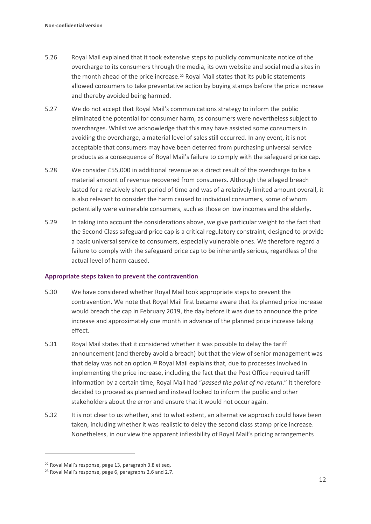- 5.26 Royal Mail explained that it took extensive steps to publicly communicate notice of the overcharge to its consumers through the media, its own website and social media sites in the month ahead of the price increase.<sup>[22](#page-13-0)</sup> Royal Mail states that its public statements allowed consumers to take preventative action by buying stamps before the price increase and thereby avoided being harmed.
- 5.27 We do not accept that Royal Mail's communications strategy to inform the public eliminated the potential for consumer harm, as consumers were nevertheless subject to overcharges. Whilst we acknowledge that this may have assisted some consumers in avoiding the overcharge, a material level of sales still occurred. In any event, it is not acceptable that consumers may have been deterred from purchasing universal service products as a consequence of Royal Mail's failure to comply with the safeguard price cap.
- 5.28 We consider £55,000 in additional revenue as a direct result of the overcharge to be a material amount of revenue recovered from consumers. Although the alleged breach lasted for a relatively short period of time and was of a relatively limited amount overall, it is also relevant to consider the harm caused to individual consumers, some of whom potentially were vulnerable consumers, such as those on low incomes and the elderly.
- 5.29 In taking into account the considerations above, we give particular weight to the fact that the Second Class safeguard price cap is a critical regulatory constraint, designed to provide a basic universal service to consumers, especially vulnerable ones. We therefore regard a failure to comply with the safeguard price cap to be inherently serious, regardless of the actual level of harm caused.

### **Appropriate steps taken to prevent the contravention**

- 5.30 We have considered whether Royal Mail took appropriate steps to prevent the contravention. We note that Royal Mail first became aware that its planned price increase would breach the cap in February 2019, the day before it was due to announce the price increase and approximately one month in advance of the planned price increase taking effect.
- 5.31 Royal Mail states that it considered whether it was possible to delay the tariff announcement (and thereby avoid a breach) but that the view of senior management was that delay was not an option.[23](#page-13-1) Royal Mail explains that, due to processes involved in implementing the price increase, including the fact that the Post Office required tariff information by a certain time, Royal Mail had "*passed the point of no return*." It therefore decided to proceed as planned and instead looked to inform the public and other stakeholders about the error and ensure that it would not occur again.
- 5.32 It is not clear to us whether, and to what extent, an alternative approach could have been taken, including whether it was realistic to delay the second class stamp price increase. Nonetheless, in our view the apparent inflexibility of Royal Mail's pricing arrangements

<span id="page-13-0"></span><sup>22</sup> Royal Mail's response, page 13, paragraph 3.8 et seq.

<span id="page-13-1"></span><sup>23</sup> Royal Mail's response, page 6, paragraphs 2.6 and 2.7.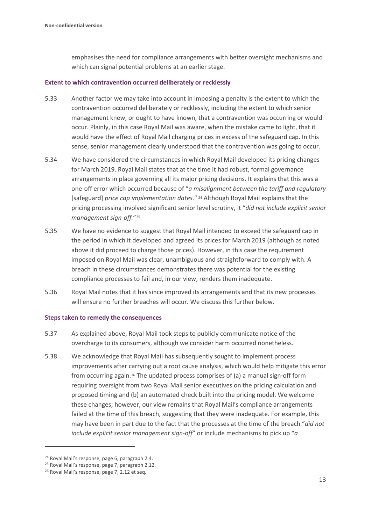emphasises the need for compliance arrangements with better oversight mechanisms and which can signal potential problems at an earlier stage.

#### **Extent to which contravention occurred deliberately or recklessly**

- 5.33 Another factor we may take into account in imposing a penalty is the extent to which the contravention occurred deliberately or recklessly, including the extent to which senior management knew, or ought to have known, that a contravention was occurring or would occur. Plainly, in this case Royal Mail was aware, when the mistake came to light, that it would have the effect of Royal Mail charging prices in excess of the safeguard cap. In this sense, senior management clearly understood that the contravention was going to occur.
- 5.34 We have considered the circumstances in which Royal Mail developed its pricing changes for March 2019. Royal Mail states that at the time it had robust, formal governance arrangements in place governing all its major pricing decisions. It explains that this was a one-off error which occurred because of "*a misalignment between the tariff and regulatory*  [safeguard] *price cap implementation dates.*" [24](#page-14-0) Although Royal Mail explains that the pricing processing involved significant senior level scrutiny, it "*did not include explicit senior management sign-off.*"[25](#page-14-1)
- 5.35 We have no evidence to suggest that Royal Mail intended to exceed the safeguard cap in the period in which it developed and agreed its prices for March 2019 (although as noted above it did proceed to charge those prices). However, in this case the requirement imposed on Royal Mail was clear, unambiguous and straightforward to comply with. A breach in these circumstances demonstrates there was potential for the existing compliance processes to fail and, in our view, renders them inadequate.
- 5.36 Royal Mail notes that it has since improved its arrangements and that its new processes will ensure no further breaches will occur. We discuss this further below.

#### **Steps taken to remedy the consequences**

- 5.37 As explained above, Royal Mail took steps to publicly communicate notice of the overcharge to its consumers, although we consider harm occurred nonetheless.
- 5.38 We acknowledge that Royal Mail has subsequently sought to implement process improvements after carrying out a root cause analysis, which would help mitigate this error from occurring again.[26](#page-14-2) The updated process comprises of (a) a manual sign-off form requiring oversight from two Royal Mail senior executives on the pricing calculation and proposed timing and (b) an automated check built into the pricing model. We welcome these changes; however, our view remains that Royal Mail's compliance arrangements failed at the time of this breach, suggesting that they were inadequate. For example, this may have been in part due to the fact that the processes at the time of the breach "*did not include explicit senior management sign-off*" or include mechanisms to pick up "*a*

<span id="page-14-0"></span><sup>24</sup> Royal Mail's response, page 6, paragraph 2.4.

<span id="page-14-1"></span><sup>25</sup> Royal Mail's response, page 7, paragraph 2.12.

<span id="page-14-2"></span><sup>&</sup>lt;sup>26</sup> Royal Mail's response, page 7, 2.12 et seq.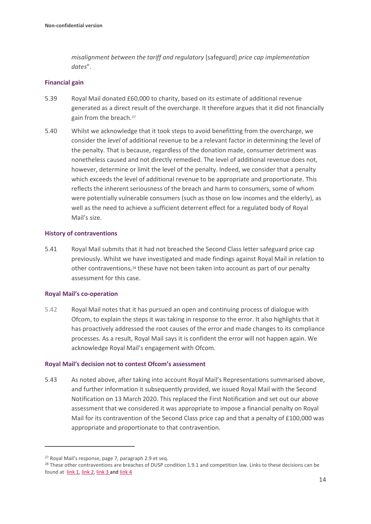*misalignment between the tariff and regulatory* [safeguard] *price cap implementation dates*".

### **Financial gain**

- 5.39 Royal Mail donated £60,000 to charity, based on its estimate of additional revenue generated as a direct result of the overcharge. It therefore argues that it did not financially gain from the breach.[27](#page-15-0)
- 5.40 Whilst we acknowledge that it took steps to avoid benefitting from the overcharge, we consider the *level* of additional revenue to be a relevant factor in determining the level of the penalty. That is because, regardless of the donation made, consumer detriment was nonetheless caused and not directly remedied. The level of additional revenue does not, however, determine or limit the level of the penalty. Indeed, we consider that a penalty which exceeds the level of additional revenue to be appropriate and proportionate. This reflects the inherent seriousness of the breach and harm to consumers, some of whom were potentially vulnerable consumers (such as those on low incomes and the elderly), as well as the need to achieve a sufficient deterrent effect for a regulated body of Royal Mail's size.

### **History of contraventions**

5.41 Royal Mail submits that it had not breached the Second Class letter safeguard price cap previously. Whilst we have investigated and made findings against Royal Mail in relation to other contraventions,<sup>[28](#page-15-1)</sup> these have not been taken into account as part of our penalty assessment for this case.

#### **Royal Mail's co-operation**

5.42 Royal Mail notes that it has pursued an open and continuing process of dialogue with Ofcom, to explain the steps it was taking in response to the error. It also highlights that it has proactively addressed the root causes of the error and made changes to its compliance processes. As a result, Royal Mail says it is confident the error will not happen again. We acknowledge Royal Mail's engagement with Ofcom.

#### **Royal Mail's decision not to contest Ofcom's assessment**

5.43 As noted above, after taking into account Royal Mail's Representations summarised above, and further information it subsequently provided, we issued Royal Mail with the Second Notification on 13 March 2020. This replaced the First Notification and set out our above assessment that we considered it was appropriate to impose a financial penalty on Royal Mail for its contravention of the Second Class price cap and that a penalty of £100,000 was appropriate and proportionate to that contravention.

<span id="page-15-0"></span><sup>27</sup> Royal Mail's response, page 7, paragraph 2.9 et seq.

<span id="page-15-1"></span><sup>&</sup>lt;sup>28</sup> These other contraventions are breaches of DUSP condition 1.9.1 and competition law. Links to these decisions can be found at [link](https://www.ofcom.org.uk/about-ofcom/latest/bulletins/competition-bulletins/all-closed-cases/cw_01222) 1, [link](https://www.ofcom.org.uk/about-ofcom/latest/bulletins/competition-bulletins/all-closed-cases/cw_01122) 2, link 3 an[d link](https://www.ofcom.org.uk/about-ofcom/latest/bulletins/competition-bulletins/all-closed-cases/cw_01183) 4